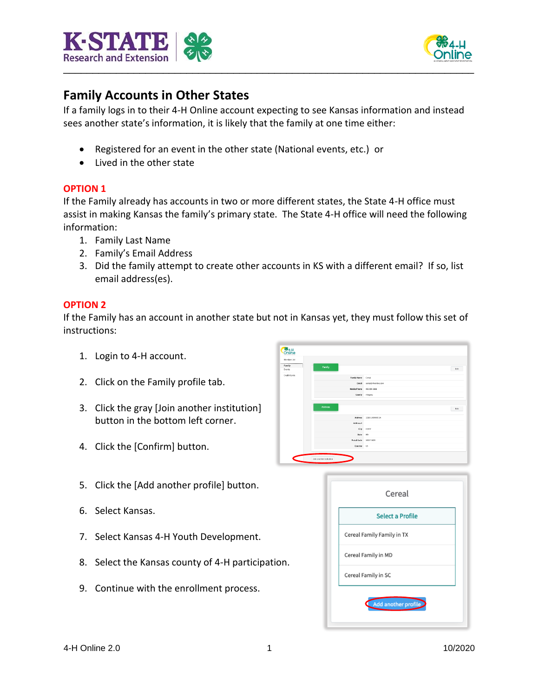



## **Family Accounts in Other States**

If a family logs in to their 4-H Online account expecting to see Kansas information and instead sees another state's information, it is likely that the family at one time either:

- Registered for an event in the other state (National events, etc.) or
- Lived in the other state

## **OPTION 1**

If the Family already has accounts in two or more different states, the State 4-H office must assist in making Kansas the family's primary state. The State 4-H office will need the following information:

- 1. Family Last Name
- 2. Family's Email Address
- 3. Did the family attempt to create other accounts in KS with a different email? If so, list email address(es).

## **OPTION 2**

If the Family has an account in another state but not in Kansas yet, they must follow this set of instructions:

- 1. Login to 4-H account.
- 2. Click on the Family profile tab.
- 3. Click the gray [Join another institution] button in the bottom left corner.
- 4. Click the [Confirm] button.
- 5. Click the [Add another profile] button.
- 6. Select Kansas.
- 7. Select Kansas 4-H Youth Development.
- 8. Select the Kansas county of 4-H participation.
- 9. Continue with the enrollment process.

| <b>364-H</b><br>Online |                          |                                 |
|------------------------|--------------------------|---------------------------------|
| Momber List            |                          |                                 |
| Family                 | Family                   |                                 |
| Events                 |                          | fdt                             |
| Credit Cards           | <b>Family Name</b>       | Cereal                          |
|                        | Ernalt                   | cereal@4honline.com             |
|                        | <b>Mobile Phone</b>      | 999-000-8888                    |
|                        |                          | County Alegany                  |
|                        | Address                  | <b>Edit</b><br>12186 LARAMIE LN |
|                        | Address 2                |                                 |
|                        | City                     | LUSBY                           |
|                        |                          |                                 |
|                        | State                    | NO <sub>1</sub>                 |
|                        | Postal Code              | 20657-3629                      |
|                        | Country US               |                                 |
| Γ.                     | Join another institution |                                 |